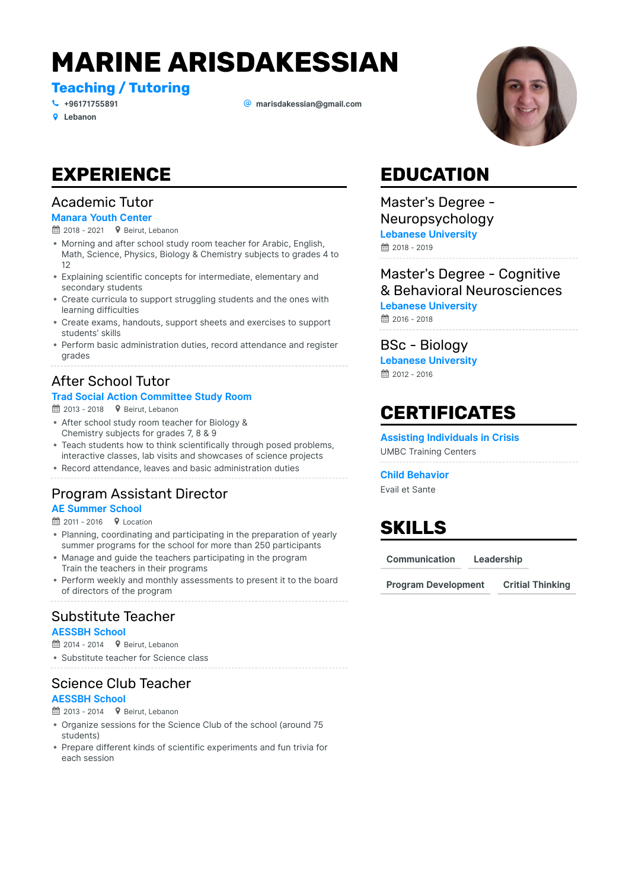# **MARINE ARISDAKESSIAN**

**Teaching / Tutoring**

+ **Lebanon**

# **[96171755891](tel:+96171755891)** \_ **[marisdakessian@gmail.com](mailto:marisdakessian@gmail.com)**

**EXPERIENCE**

# Academic Tutor

### **Manara Youth Center**

- $\hat{H}$  2018 2021  $\bullet$  Beirut, Lebanon
- Morning and after school study room teacher for Arabic, English, Math, Science, Physics, Biology & Chemistry subjects to grades 4 to 12
- Explaining scientific concepts for intermediate, elementary and secondary students
- Create curricula to support struggling students and the ones with learning difficulties
- Create exams, handouts, support sheets and exercises to support students' skills
- Perform basic administration duties, record attendance and register grades

### After School Tutor

#### **Trad Social Action Committee Study Room**

 $\hat{H}$  2013 - 2018  $\bullet$  Beirut, Lebanon

- After school study room teacher for Biology & Chemistry subjects for grades 7, 8 & 9
- Teach students how to think scientifically through posed problems, interactive classes, lab visits and showcases of science projects
- Record attendance, leaves and basic administration duties

# Program Assistant Director

#### **AE Summer School**

 $\hat{=}$  2011 - 2016  $\bullet$  Location

- Planning, coordinating and participating in the preparation of yearly summer programs for the school for more than 250 participants
- Manage and guide the teachers participating in the program Train the teachers in their programs
- Perform weekly and monthly assessments to present it to the board of directors of the program

# Substitute Teacher

#### **AESSBH School**

- $\hat{H}$  2014 2014  $\bullet$  Beirut, Lebanon
- Substitute teacher for Science class

# Science Club Teacher

### **AESSBH School**

- $\hat{H}$  2013 2014  $\bullet$  Beirut, Lebanon
- Organize sessions for the Science Club of the school (around 75 students)
- Prepare different kinds of scientific experiments and fun trivia for each session

# **EDUCATION**

### Master's Degree - Neuropsychology

 $# 2018 - 2019$ **Lebanese University**

### Master's Degree - Cognitive & Behavioral Neurosciences

**Lebanese University**

~ 2016 - 2018

### BSc - Biology

**■ 2012 - 2016 Lebanese University**

# **CERTIFICATES**

**Assisting Individuals in Crisis** UMBC Training Centers

#### **Child Behavior**

Evail et Sante

# **SKILLS**

**Communication Leadership**

**Program Development Critial Thinking**